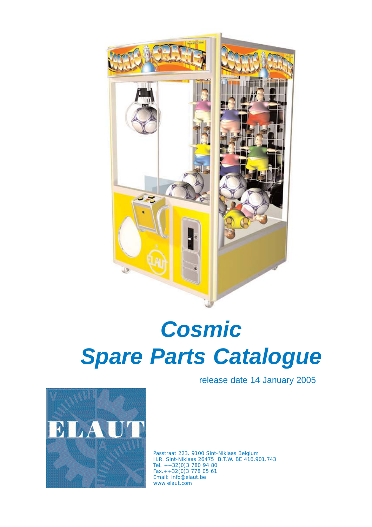

# *Cosmic Spare Parts Catalogue*

release date 14 January 2005



Passtraat 223. 9100 Sint-Niklaas Belgium H.R. Sint-Niklaas 26475 B.T.W. BE 416.901.743 Tel. ++32(0)3 780 94 80 Fax.++32(0)3 778 05 61 Email: info@elaut.be www.elaut.com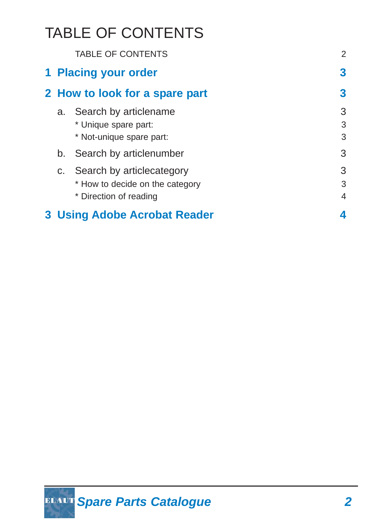# TABLE OF CONTENTS

|                                | <b>TABLE OF CONTENTS</b>                                                                  | $\overline{2}$           |
|--------------------------------|-------------------------------------------------------------------------------------------|--------------------------|
|                                | 1 Placing your order                                                                      | 3                        |
| 2 How to look for a spare part |                                                                                           | 3                        |
|                                | a. Search by articlename<br>* Unique spare part:<br>* Not-unique spare part:              | 3<br>3<br>3              |
|                                | b. Search by articlenumber                                                                | 3                        |
|                                | c. Search by articlecategory<br>* How to decide on the category<br>* Direction of reading | 3<br>3<br>$\overline{4}$ |
|                                | <b>3 Using Adobe Acrobat Reader</b>                                                       |                          |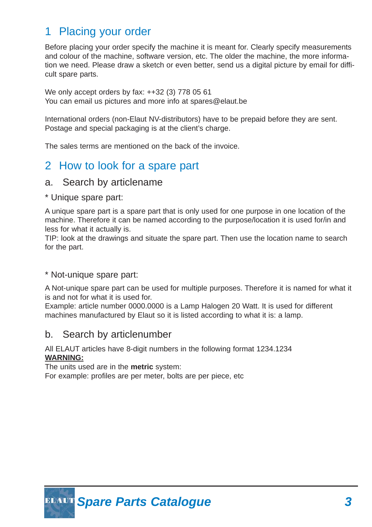# 1 Placing your order

Before placing your order specify the machine it is meant for. Clearly specify measurements and colour of the machine, software version, etc. The older the machine, the more information we need. Please draw a sketch or even better, send us a digital picture by email for difficult spare parts.

We only accept orders by fax: ++32 (3) 778 05 61 You can email us pictures and more info at spares@elaut.be

International orders (non-Elaut NV-distributors) have to be prepaid before they are sent. Postage and special packaging is at the client's charge.

The sales terms are mentioned on the back of the invoice.

# 2 How to look for a spare part

#### a. Search by articlename

\* Unique spare part:

A unique spare part is a spare part that is only used for one purpose in one location of the machine. Therefore it can be named according to the purpose/location it is used for/in and less for what it actually is.

TIP: look at the drawings and situate the spare part. Then use the location name to search for the part.

#### \* Not-unique spare part:

A Not-unique spare part can be used for multiple purposes. Therefore it is named for what it is and not for what it is used for.

Example: article number 0000.0000 is a Lamp Halogen 20 Watt. It is used for different machines manufactured by Elaut so it is listed according to what it is: a lamp.

## b. Search by articlenumber

#### All ELAUT articles have 8-digit numbers in the following format 1234.1234 **WARNING:**

The units used are in the **metric** system:

For example: profiles are per meter, bolts are per piece, etc

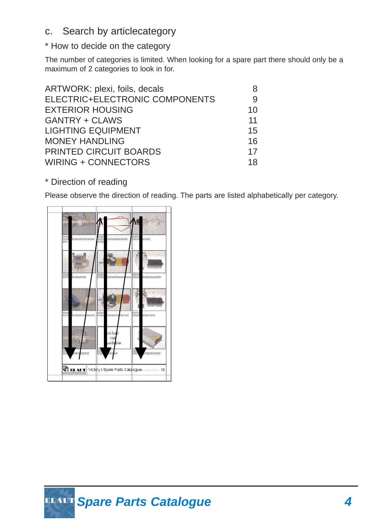# c. Search by articlecategory

## \* How to decide on the category

The number of categories is limited. When looking for a spare part there should only be a maximum of 2 categories to look in for.

| ARTWORK: plexi, foils, decals  | 8  |
|--------------------------------|----|
| ELECTRIC+ELECTRONIC COMPONENTS | 9  |
| <b>EXTERIOR HOUSING</b>        | 10 |
| <b>GANTRY + CLAWS</b>          | 11 |
| <b>LIGHTING EQUIPMENT</b>      | 15 |
| <b>MONEY HANDLING</b>          | 16 |
| <b>PRINTED CIRCUIT BOARDS</b>  | 17 |
| <b>WIRING + CONNECTORS</b>     | 18 |

\* Direction of reading

Please observe the direction of reading. The parts are listed alphabetically per category.

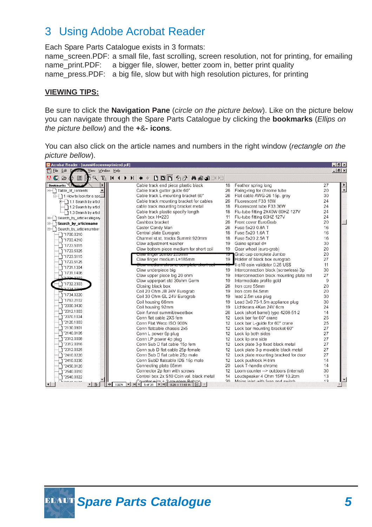# 3 Using Adobe Acrobat Reader

Each Spare Parts Catalogue exists in 3 formats:

name screen.PDF: a small file, fast scrolling, screen resolution, not for printing, for emailing name print.PDF: a bigger file, slower, better zoom in, better print quality name\_press.PDF: a big file, slow but with high resolution pictures, for printing

#### **VIEWING TIPS:**

Be sure to click the **Navigation Pane** (*circle on the picture below*). Like on the picture below you can navigate through the Spare Parts Catalogue by clicking the **bookmarks** (*Ellips on the picture bellow*) and the **+**&**- icons**.

You can also click on the article names and numbers in the right window (*rectangle on the picture bellow*).

| Acrobat Reader - [summit6screenoptimized.pdf]                      |                                                                                       | <b>MBIX</b>            |
|--------------------------------------------------------------------|---------------------------------------------------------------------------------------|------------------------|
| Eile Edit Decimen<br>View Window Help                              |                                                                                       | $    $ $\mathbf{x} $   |
| $M \bullet \bullet$<br>画书                                          | $\sqrt{2}$ $E$ $K + H$<br><b>DDD &amp; &amp; A &amp; B H</b>                          |                        |
| <b>Bookmarks</b> <i>Machnaid</i><br>$\blacktriangleright$          | Cable track end piece plastic black<br>Feather spring long<br>18                      | 27<br>▶                |
| Table_of_contents                                                  | Cable track gutter guide 60"<br>Fixing-ring for chrome tube<br>26                     | $\blacktriangle$<br>20 |
| in 1 How to look for a spa                                         | Cable track L-mounting bracket 60"<br>26<br>Flat cable AWG-26 15p. grey               | 30                     |
| ⊞−− 11.1 Search by articl                                          | Cable track mounting bracket for cables<br>26<br>Fluorescent F33 18W                  | 24                     |
| 1.2 Search by articl                                               | cable track mounting bracket metal<br>18<br>Fluorescent tube F33 36W                  | 24                     |
| 1.3 Search by articl                                               | Cable track plastic specify length<br>Flu-tube fitting 2X40W 60HZ 127V<br>18          | 24                     |
| B-1 Search_by_articlecategory                                      | Cash box H=220<br>Flu-tube fitting 60HZ 127V<br>11                                    | 24                     |
| Search_by_articlename<br>∓⊢ 1                                      | Cashbox bracket<br>26<br>Front cover EuroGrab                                         | 20                     |
| B- Search_by_articlenumber                                         | Castor Candy Man<br>Fuse 5x20 0.8A T<br>26                                            | 16                     |
| 1 1700.0210                                                        | Central plate Eurograb<br>Fuse 5x20 1.6A T<br>18                                      | 16                     |
| 1703.4210                                                          | Channel st.st. tracks Summit 920mm<br>18<br>Fuse 5x20 2.5A T                          | 16                     |
| "1723.5015                                                         | Claw adjustment washer<br>19<br>Gaine spiraal d=                                      | 30                     |
| 1 1723.5025                                                        | Claw bottom piece medium for short coil<br>Gear wheel (euro-grab)<br>19               | 20                     |
| 1"1723.5115                                                        | Grab cap complete Jumbo<br>Claw finger Jumbo 200mm<br>75                              | 20                     |
| 1"1723.5125                                                        | Claw finger medium L=185mm<br>19<br>Holder of black box eurograb                      | 27                     |
| 1"1731.1304                                                        | Il-s10 coin validator 0.25 US\$<br>l <del>aw mediam chrome complete snort co</del>    | 11                     |
| 1731.1406                                                          | Claw underpiece big<br>19<br>Interconnection block (screwless) 3p                     | 30                     |
| h was been the                                                     | Claw upper piece big 20 ohm<br>Interconnection block mounting plate mtl<br>19         | 27                     |
| ነ ኀ732.2303                                                        | Claw upperpart std 30ohm Germ<br>Intermediate profile gold<br>19                      | 9                      |
| <b>4734004</b>                                                     | Closing black box<br>Iron core 55mm<br>26                                             | 20                     |
| 1"1734.0220                                                        | Coil 20 Ohm JB 24V Eurograb<br>Iron core 84.5mm<br>19                                 | 20                     |
| 1 1763.2102                                                        | Coil 30 Ohm GL 24V Eurograb<br>lead 2.5m usa plug<br>19                               | 30                     |
| "2000.3430                                                         | Lead 3x0.75-1.5m appliance plug<br>Coil housing 66mm<br>19                            | 30                     |
|                                                                    | Coil housing 92mm<br>Lichtkrans 4Kan 24V 6cm<br>19                                    | 24                     |
| "2012.1003<br>"2070.1024                                           | Coin funnel summit/sweetbox<br>Lock (short barrel) type 4208-51-2<br>26               | 14                     |
| "2120.1003                                                         | Lock bar for 60" crane<br>Conn flat cable 2X5 fem<br>12                               | 25                     |
|                                                                    | Conn Flat Weco ISO 900N<br>Lock bar L-quide for 60" crane<br>$12^{\circ}$             | 25                     |
| "2130.0901                                                         | Conn flatcable chassis 2x5<br>Lock bar mounting bracket 60"<br>12                     | 27                     |
| "2140.0105                                                         | Lock lip both sides<br>Conn L power 6p plug<br>12                                     | 27                     |
| "2312.0008                                                         | Conn LP power 4p plug<br>Lock lip one side<br>12                                      | 27                     |
| "2312.0016                                                         | Conn Sub D flat cable 15p fem<br>Lock plate 3-p fixed black metal<br>12               | 27                     |
| "2312.0025                                                         | Conn sub D flat cable 25p female<br>Lock plate 3-p movable black metal<br>12          | 27                     |
| "2410.0220                                                         | Conn Sub D flat cable 25p male<br>12<br>Lock plate mounting bracked for door          | 27                     |
| "2410.0230                                                         | Conn SubD flatcable IDS 15p male<br>Lock pushlock H-trim<br>12                        | 14                     |
| "2450.0120                                                         | Connecting plate 65mm<br>Lock T-handle chrome<br>20                                   | 14                     |
| 2540.0010                                                          | Connector 2p fem with screws<br>$12^{\circ}$<br>Loom counter -- > outdoors (internal) | 30                     |
| "2540.0022                                                         | Control box 2x S10 Coin val. black metal<br>14<br>Loudspeaker 4 Ohm 15W 10.2cm        | 13                     |
| Brazio ason<br>$\vert \cdot \vert$<br>$\blacktriangleright$ $\Box$ | Mains inlet with fuse and switch<br>30<br>132%<br>业                                   | 13                     |

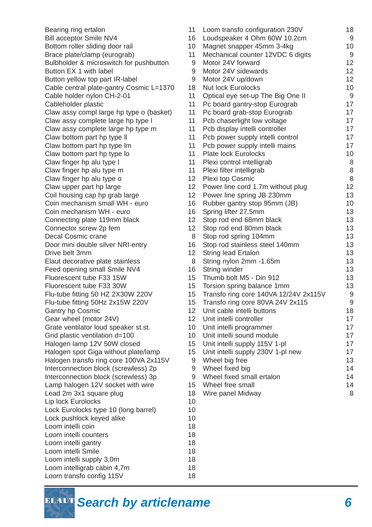Bearing ring ertalon Bill acceptor Smile NV4 169 Bottom roller sliding door rail 100 mm Brace plate/clamp (eurograb) Bulbholder & microswitch for pushbutton Button EX 1 with label Button yellow top part IR-label Cable central plate-gantry Cosmic L=1370 1 Cable holder nylon CH-2-01 Cableholder plastic Claw assy compl large hp type o (basket) Claw assy complete large hp type I Claw assy complete large hp type m Claw bottom part hp type II Claw bottom part hp type Im Claw bottom part hp type lo Claw finger hp alu type I Claw finger hp alu type m Claw finger hp alu type o 122 12 Claw upper part hp large 120 and 120 and 120 and 120 and 120 and 120 and 120 and 120 and 120 and 120 and 120 and 120 and 120 and 120 and 120 and 120 and 120 and 120 and 120 and 120 and 120 and 120 and 120 and 120 and 120 a Coil housing cap hp grab large 120 million Coin mechanism small WH - euro 16 Coin mechanism WH - euro 16 Connecting plate 119mm black 12 Connector screw 2p fem 12 Decal Cosmic crane Door mini double silver NRI-entry 16 Drive belt 3mm 12 Elaut decorative plate stainless 8 Feed opening small Smile NV4 169 169 Fluorescent tube F33 15W 15 Fluorescent tube F33 30W 15 Flu-tube fitting 50 HZ 2X30W 220V 15 Flu-tube fitting 50Hz 2x15W 220V 15 Gantry hp Cosmic 12 Gear wheel (motor 24V) 1 Grate ventilator loud speaker st.st. 100 Grid plastic ventilation  $d=100$  100 Halogen lamp 12V 50W closed 15 Halogen spot Giga without plate/lamp 15 Halogen transfo ring core 100VA 2x115V Interconnection block (screwless) 2p Interconnection block (screwless) 3p Lamp halogen 12V socket with wire 15 Lead 2m 3x1 square plug 1 Lip lock Eurolocks 100 and 100 and 100 and 100 and 100 and 100 and 100 and 100 and 100 and 100 and 100 and 100 and 100 and 100 and 100 and 100 and 100 and 100 and 100 and 100 and 100 and 100 and 100 and 100 and 100 and 100 Lock Eurolocks type 10 (long barrel) 1 Lock pushlock keyed alike 100 minutes 100 minutes 100 minutes 100 minutes 100 minutes 100 minutes 100 minutes 1 Loom intelli coin 1999 and 1899 and 1899 and 1899 and 1899 and 1899 and 1899 and 1899 and 1899 and 1899 and 18 Loom intelli counters and the state of the 18 million of 18 million and 18 million of 18 million 18 million of 1 Loom intelli gantry 18 Loom intelli Smile 18 Loom intelli supply 3,0m 18 Loom intelligrab cabin 4,7m 18 Loom transfo config 115V 18

| 1                | Loom transfo configuration 230V       | 18 |
|------------------|---------------------------------------|----|
| 6                | Loudspeaker 4 Ohm 60W 10.2cm          | 9  |
| $\mathbf 0$      | Magnet snapper 45mm 3-4kg             | 10 |
| 11               | Mechanical counter 12VDC 6 digits     | 9  |
| 9                | Motor 24V forward                     | 12 |
| 9                | Motor 24V sidewards                   | 12 |
| 9                | Motor 24V up/down                     | 12 |
| 8                | <b>Nut lock Eurolocks</b>             | 10 |
| 1                | Optical eye set-up The Big One II     | 9  |
| 1                | Pc board gantry-stop Eurograb         | 17 |
| 11               | Pc board grab-stop Eurograb           | 17 |
| 11               | Pcb chaserlight low voltage           | 17 |
| 11               | Pcb display intelli controller        | 17 |
| 1                | Pcb power supply intelli control      | 17 |
| 1                | Pcb power supply intelli mains        | 17 |
| 1                | <b>Plate lock Eurolocks</b>           | 10 |
| 11               | Plexi control intelligrab             | 8  |
| 11               | Plexi filter intelligrab              | 8  |
| 2                | Plexi top Cosmic                      | 8  |
| $\overline{2}$   | Power line cord 1.7m without plug     | 12 |
| $\overline{2}$   | Power line spring JB 230mm            | 13 |
| 6                | Rubber gantry stop 95mm (JB)          | 10 |
| 6                | Spring lifter 27.5mm                  | 13 |
| $\overline{2}$   | Stop rod end 68mm black               | 13 |
| $\overline{2}$   | Stop rod end 80mm black               | 13 |
| 8                | Stop rod spring 104mm                 | 13 |
| 6                | Stop rod stainless steel 140mm        | 13 |
| $\overline{2}$   | <b>String lead Ertalon</b>            | 13 |
| 8                | String nylon 2mm -1.65m               | 13 |
| 6                | String winder                         | 13 |
| 5                | Thumb bolt M5 - Din 912               | 13 |
| 5                | Torsion spring balance 1mm            | 13 |
| 5                | Transfo ring core 140VA 12/24V 2x115V | 9  |
| 5                | Transfo ring core 80VA 24V 2x115      | 9  |
| $\overline{2}$   | Unit cable intelli buttons            | 18 |
| $\overline{2}$   | Unit intelli controller               | 17 |
| $\boldsymbol{0}$ | Unit intelli programmer               | 17 |
| 0                | Unit intelli sound module             | 17 |
| 5                | Unit intelli supply 115V 1-pl         | 17 |
| 5                | Unit intelli supply 230V 1-pl new     | 17 |
| 9                | Wheel big free                        | 13 |
| 9                | Wheel fixed big                       | 14 |
| 9                | Wheel fixed small ertalon             | 14 |
| 5                | Wheel free small                      | 14 |
| 8                | Wire panel Midway                     | 8  |
| 0                |                                       |    |
| 0                |                                       |    |
| $\boldsymbol{0}$ |                                       |    |
| 8                |                                       |    |
| 8                |                                       |    |

**ELAUT** Search by articlename 6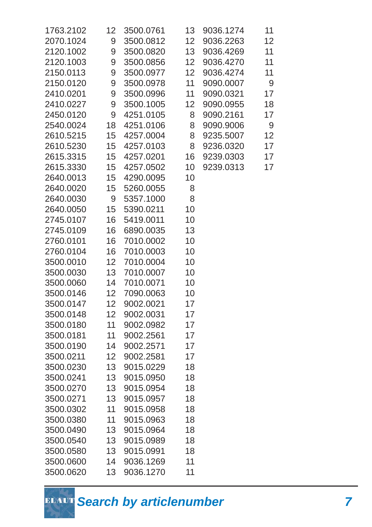| 1763.2102 | 12 <sup>1</sup>  | 3500.0761 | 13              | 9036.1274 | 11              |
|-----------|------------------|-----------|-----------------|-----------|-----------------|
| 2070.1024 | 9                | 3500.0812 | 12 <sub>2</sub> | 9036.2263 | 12 <sub>2</sub> |
| 2120.1002 | 9                | 3500.0820 | 13              | 9036.4269 | 11              |
| 2120.1003 | 9                | 3500.0856 | 12 <sub>2</sub> | 9036.4270 | 11              |
| 2150.0113 | 9                | 3500.0977 | 12 <sub>2</sub> | 9036.4274 | 11              |
| 2150.0120 | 9                | 3500.0978 | 11              | 9090.0007 | 9               |
| 2410.0201 | 9                | 3500.0996 | 11              | 9090.0321 | 17              |
| 2410.0227 | 9                | 3500.1005 | 12 <sub>2</sub> | 9090.0955 | 18              |
| 2450.0120 | 9                | 4251.0105 | 8               | 9090.2161 | 17              |
| 2540.0024 | 18               | 4251.0106 | 8               | 9090.9006 | 9               |
| 2610.5215 | 15               | 4257.0004 | 8               | 9235.5007 | 12              |
| 2610.5230 | 15 <sup>7</sup>  | 4257.0103 | 8               | 9236.0320 | 17              |
| 2615.3315 | 15 <sup>15</sup> | 4257.0201 | 16              | 9239.0303 | 17              |
| 2615.3330 | 15 <sup>7</sup>  | 4257.0502 | 10 <sup>°</sup> | 9239.0313 | 17              |
| 2640.0013 | 15               | 4290.0095 | 10              |           |                 |
| 2640.0020 | 15 <sub>15</sub> | 5260.0055 | 8               |           |                 |
| 2640.0030 | 9                | 5357.1000 | 8               |           |                 |
| 2640.0050 | 15 <sub>15</sub> | 5390.0211 | 10              |           |                 |
| 2745.0107 | 16               | 5419.0011 | 10              |           |                 |
| 2745.0109 | 16               | 6890.0035 | 13              |           |                 |
| 2760.0101 | 16               | 7010.0002 | 10              |           |                 |
| 2760.0104 | 16               | 7010.0003 | 10              |           |                 |
| 3500.0010 | 12 <sup>7</sup>  | 7010.0004 | 10              |           |                 |
| 3500.0030 | 13 <sup>7</sup>  | 7010.0007 | 10              |           |                 |
| 3500.0060 | 14               | 7010.0071 | 10              |           |                 |
| 3500.0146 | 12 <sub>2</sub>  | 7090.0063 | 10              |           |                 |
| 3500.0147 | 12               | 9002.0021 | 17              |           |                 |
| 3500.0148 | 12 <sup>°</sup>  | 9002.0031 | 17              |           |                 |
| 3500.0180 | 11               | 9002.0982 | 17              |           |                 |
| 3500.0181 | 11               | 9002.2561 | 17              |           |                 |
| 3500.0190 | 14               | 9002.2571 | 17              |           |                 |
| 3500.0211 | 12 <sub>2</sub>  | 9002.2581 | 17              |           |                 |
| 3500.0230 | 13 <sup>°</sup>  | 9015.0229 | 18              |           |                 |
| 3500.0241 | 13               | 9015.0950 | 18              |           |                 |
| 3500.0270 | 13 <sup>°</sup>  | 9015.0954 | 18              |           |                 |
| 3500.0271 | 13               | 9015.0957 | 18              |           |                 |
| 3500.0302 | 11               | 9015.0958 | 18              |           |                 |
| 3500.0380 | 11               | 9015.0963 | 18              |           |                 |
| 3500.0490 | 13               | 9015.0964 | 18              |           |                 |
| 3500.0540 | 13 <sup>°</sup>  | 9015.0989 | 18              |           |                 |
| 3500.0580 | 13               | 9015.0991 | 18              |           |                 |
| 3500.0600 | 14               | 9036.1269 | 11              |           |                 |
| 3500.0620 | 13 <sup>°</sup>  | 9036.1270 | 11              |           |                 |
|           |                  |           |                 |           |                 |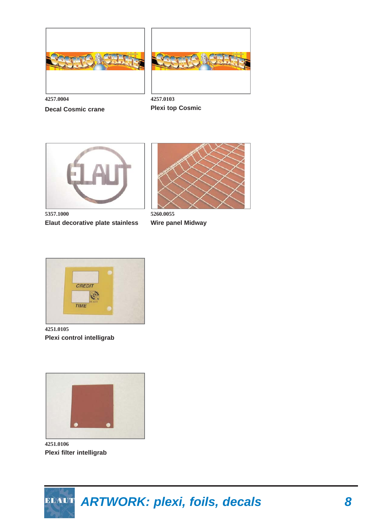



**4257.0004 Decal Cosmic crane** 

**4257.0103 Plexi top Cosmic**



**5357.1000 Elaut decorative plate stainless**



**5260.0055 Wire panel Midway**



**4251.0105 Plexi control intelligrab**



**4251.0106 Plexi filter intelligrab**

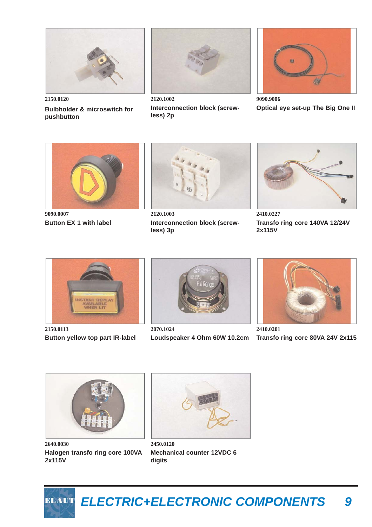

**Bulbholder & microswitch for** 

**pushbutton**



**2120.1002 Interconnection block (screwless) 2p**



**9090.9006 Optical eye set-up The Big One II**



**9090.0007 Button EX 1 with label**



**2120.1003 Interconnection block (screwless) 3p**



**2410.0227 Transfo ring core 140VA 12/24V 2x115V**



**2150.0113 Button yellow top part IR-label**



**2070.1024 Loudspeaker 4 Ohm 60W 10.2cm**



**2410.0201 Transfo ring core 80VA 24V 2x115**



**2640.0030 Halogen transfo ring core 100VA 2x115V**



**2450.0120 Mechanical counter 12VDC 6 digits**

*ELECTRIC+ELECTRONIC COMPONENTS 9* ELAUT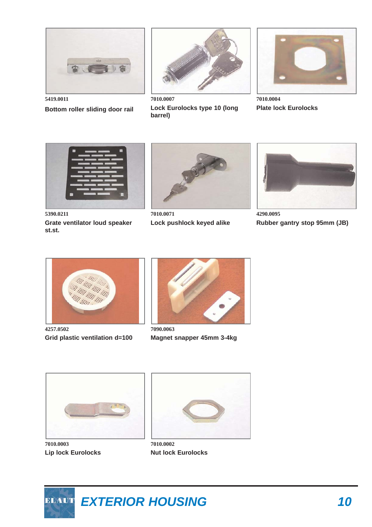

**5419.0011 Bottom roller sliding door rail** 



**7010.0007 Lock Eurolocks type 10 (long barrel)**



**7010.0004 Plate lock Eurolocks**



**5390.0211 Grate ventilator loud speaker st.st.**



**7010.0071 Lock pushlock keyed alike**



**4290.0095 Rubber gantry stop 95mm (JB)**



**4257.0502 Grid plastic ventilation d=100**



**7090.0063 Magnet snapper 45mm 3-4kg**



**7010.0003 Lip lock Eurolocks**



**7010.0002 Nut lock Eurolocks**

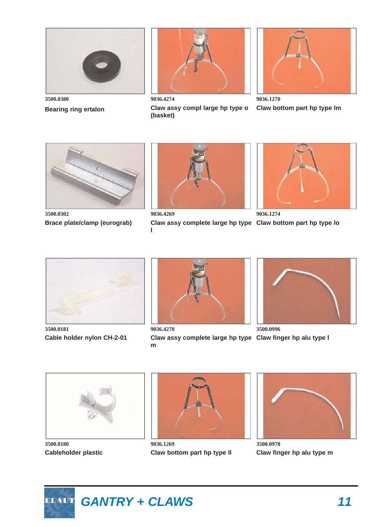

**Bearing ring ertalon** 



**9036.4274 Claw assy compl large hp type o (basket)**



**9036.1270 Claw bottom part hp type lm**



**3500.0302 Brace plate/clamp (eurograb)**



**9036.4269**

Claw assy complete large hp type Claw bottom part hp type lo **l**



**9036.1274**



**3500.0181 Cable holder nylon CH-2-01**



Claw assy complete large hp type Claw finger hp alu type I **m**



**3500.0996**



**3500.0180 Cableholder plastic**



**9036.1269 Claw bottom part hp type ll**



**3500.0978 Claw finger hp alu type m**

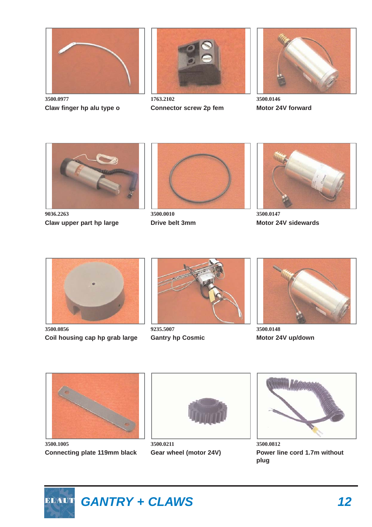

**3500.0977 Claw finger hp alu type o**



**1763.2102 Connector screw 2p fem**



**3500.0146 Motor 24V forward**



**9036.2263 Claw upper part hp large**



**3500.0010 Drive belt 3mm**



**3500.0147 Motor 24V sidewards**



**3500.0856 Coil housing cap hp grab large**



**9235.5007 Gantry hp Cosmic**



**3500.0148 Motor 24V up/down**



**3500.1005 Connecting plate 119mm black**



**3500.0211 Gear wheel (motor 24V)**



**3500.0812 Power line cord 1.7m without plug**

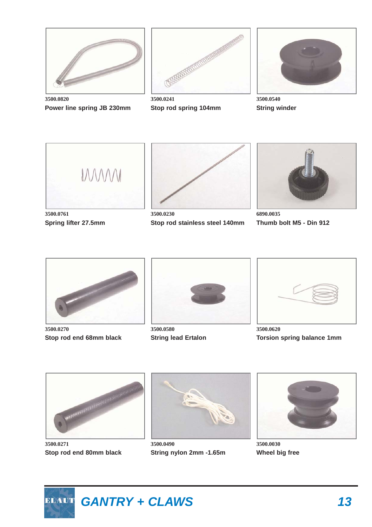

**3500.0820 Power line spring JB 230mm**



**3500.0241 Stop rod spring 104mm**



**3500.0540 String winder**



**3500.0761 Spring lifter 27.5mm**



**3500.0230 Stop rod stainless steel 140mm**



**6890.0035 Thumb bolt M5 - Din 912**



**3500.0270 Stop rod end 68mm black**



**3500.0580 String lead Ertalon**



**3500.0620 Torsion spring balance 1mm**



**3500.0271 Stop rod end 80mm black**



**3500.0490 String nylon 2mm -1.65m**



**3500.0030 Wheel big free**

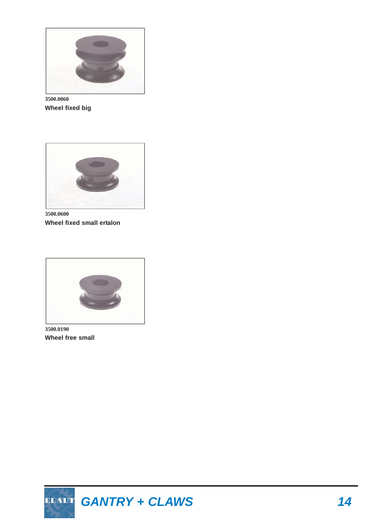

**3500.0060 Wheel fixed big**



**3500.0600 Wheel fixed small ertalon**



**3500.0190 Wheel free small**

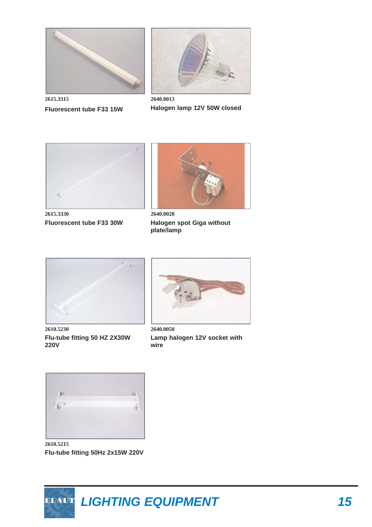



**2615.3315 Fluorescent tube F33 15W** 

**2640.0013 Halogen lamp 12V 50W closed**



**2615.3330 Fluorescent tube F33 30W**



**2640.0020 Halogen spot Giga without plate/lamp**



**2610.5230 Flu-tube fitting 50 HZ 2X30W 220V**



**2640.0050 Lamp halogen 12V socket with wire**



**2610.5215 Flu-tube fitting 50Hz 2x15W 220V**

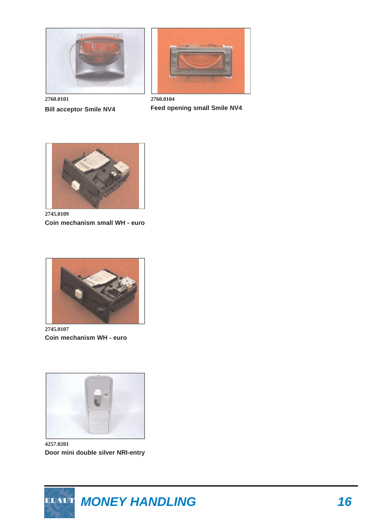

**2760.0101 Bill acceptor Smile NV4** 



**2760.0104 Feed opening small Smile NV4**



**2745.0109 Coin mechanism small WH - euro**



**2745.0107 Coin mechanism WH - euro**



**4257.0201 Door mini double silver NRI-entry**

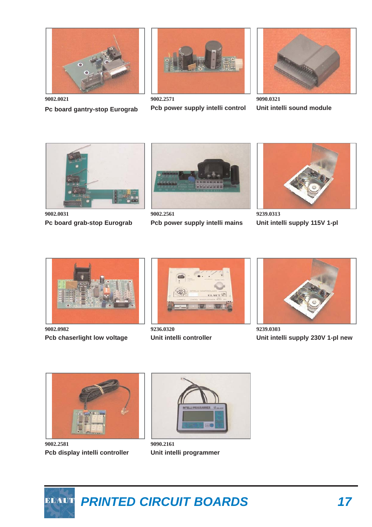

**Pc board gantry-stop Eurograb** 

**9002.2571 Pcb power supply intelli control**

**9090.0321 Unit intelli sound module**



**9002.0031 Pc board grab-stop Eurograb**



**9002.2561 Pcb power supply intelli mains**



**9239.0313 Unit intelli supply 115V 1-pl**



**9002.0982 Pcb chaserlight low voltage**



**9236.0320 Unit intelli controller**



**9239.0303 Unit intelli supply 230V 1-pl new**



**9002.2581 Pcb display intelli controller**



**9090.2161 Unit intelli programmer**